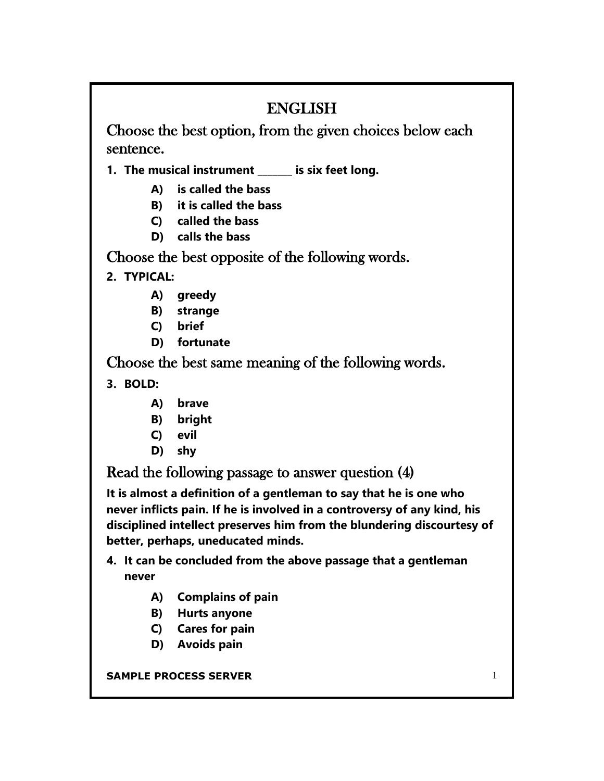## ENGLISH

Choose the best option, from the given choices below each sentence.

**1. The musical instrument \_\_\_\_\_\_\_ is six feet long.**

- **A) is called the bass**
- **B) it is called the bass**
- **C) called the bass**
- **D) calls the bass**

Choose the best opposite of the following words.

**2. TYPICAL:**

- **A) greedy**
- **B) strange**
- **C) brief**
- **D) fortunate**

Choose the best same meaning of the following words.

**3. BOLD:**

- **A) brave**
- **B) bright**
- **C) evil**
- **D) shy**

Read the following passage to answer question (4)

**It is almost a definition of a gentleman to say that he is one who never inflicts pain. If he is involved in a controversy of any kind, his disciplined intellect preserves him from the blundering discourtesy of better, perhaps, uneducated minds.**

- **4. It can be concluded from the above passage that a gentleman never**
	- **A) Complains of pain**
	- **B) Hurts anyone**
	- **C) Cares for pain**
	- **D) Avoids pain**

**SAMPLE PROCESS SERVER 1 1**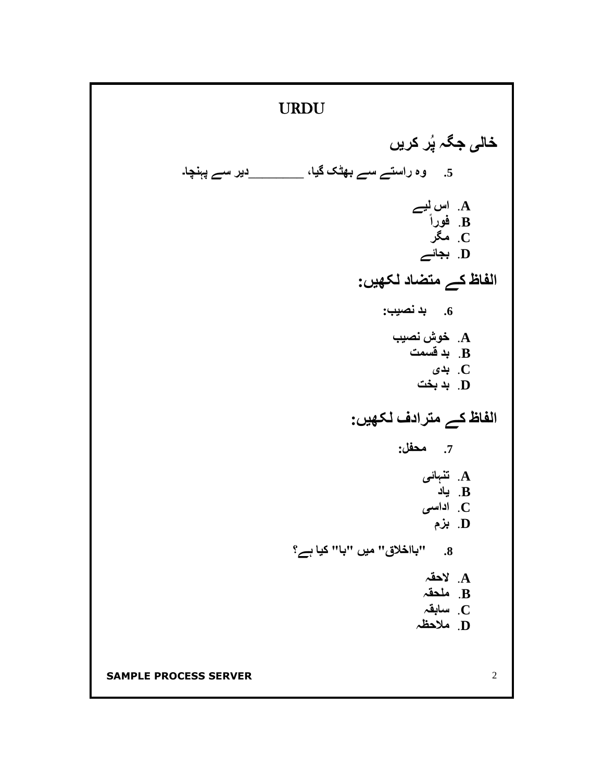**SAMPLE PROCESS SERVER** 2 URDU **خالی جگہ پُر کریں .5 وہ راستے سے بھٹک گیا،** \_\_\_\_\_\_\_\_**دیر سے پہنچا۔ A**. **اس لیے B**. **فورا C**. **مگر D**. **بجائے الفاظ کے متضاد لکھیں: .6 بد نصیب: A**. **خوش نصیب B**. **بد قسمت C**. **بدی D**. **بد بخت الفاظ کے مترادف لکھیں: .7 محفل: A**. **تنہائی B**. **یاد C**. **اداسی D**. **بزم .8 "بااخالق" میں "با" کیا ہے؟ A**. **الحقہ B**. **ملحقہ C**. **سابقہ D**. **مالحظہ**

I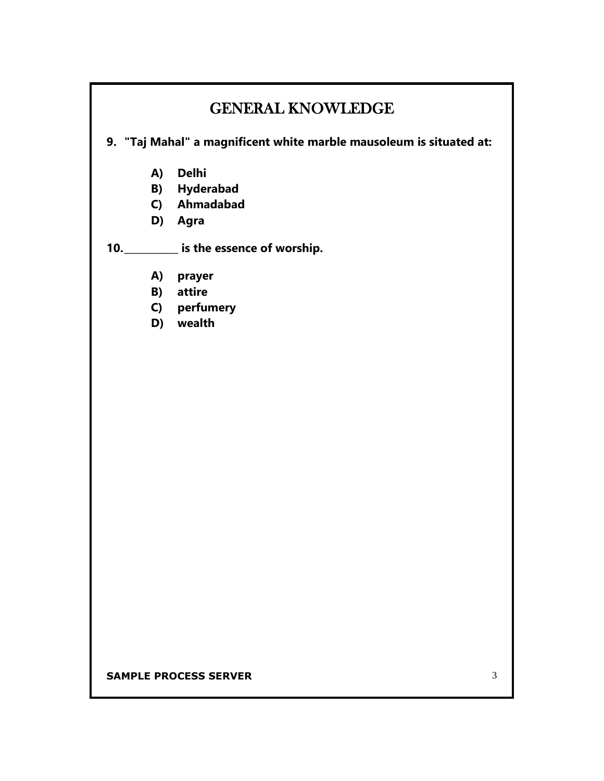## GENERAL KNOWLEDGE

**9. "Taj Mahal" a magnificent white marble mausoleum is situated at:**

- **A) Delhi**
- **B) Hyderabad**
- **C) Ahmadabad**
- **D) Agra**

**10.\_\_\_\_\_\_\_\_\_\_\_ is the essence of worship.**

- **A) prayer**
- **B) attire**
- **C) perfumery**
- **D) wealth**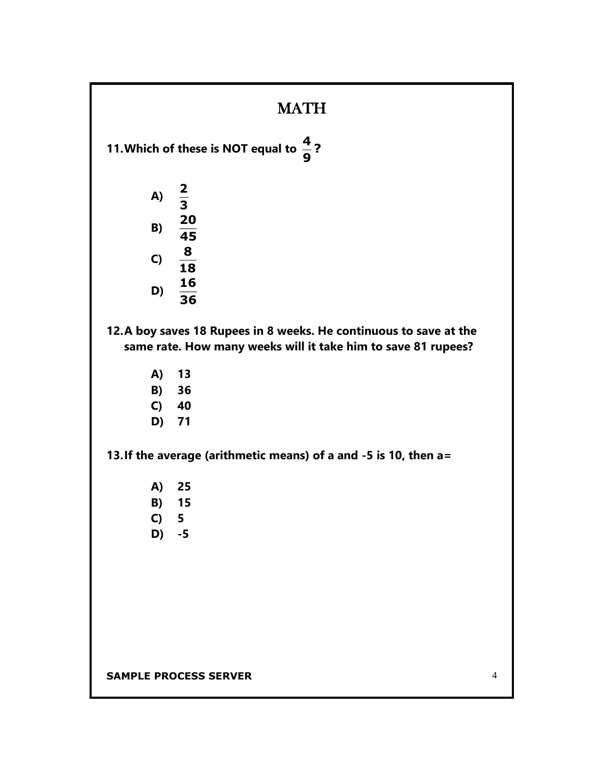## **MATH**

**11. Which of these is NOT equal to**  $\frac{1}{6}$ **? 9 4**

| A) | 2<br>3   |
|----|----------|
| B) | 20<br>45 |
| C) | 8<br>18  |

- **16**
- **D) 36**

**12.A boy saves 18 Rupees in 8 weeks. He continuous to save at the same rate. How many weeks will it take him to save 81 rupees?**

- **A) 13**
- **B) 36**
- **C) 40**
- **D) 71**

**13.If the average (arithmetic means) of a and -5 is 10, then a=**

- **A) 25**
- **B) 15**
- **C) 5**
- **D) -5**

**SAMPLE PROCESS SERVER** 4